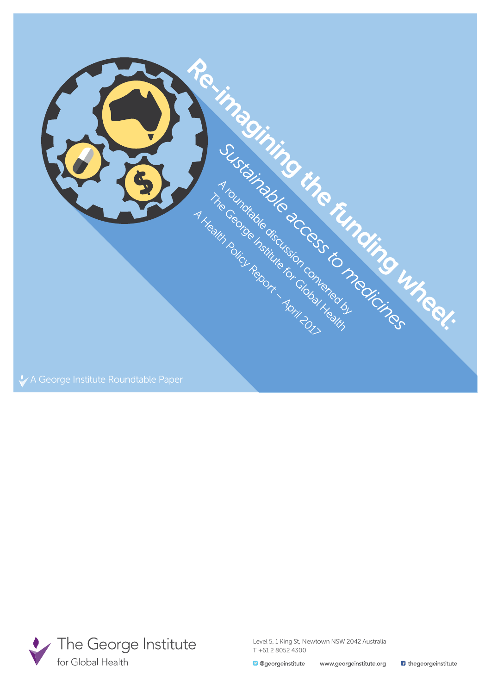



Level 5, 1 King St, Newtown NSW 2042 Australia T +61 2 8052 4300

**B** thegeorgeinstitute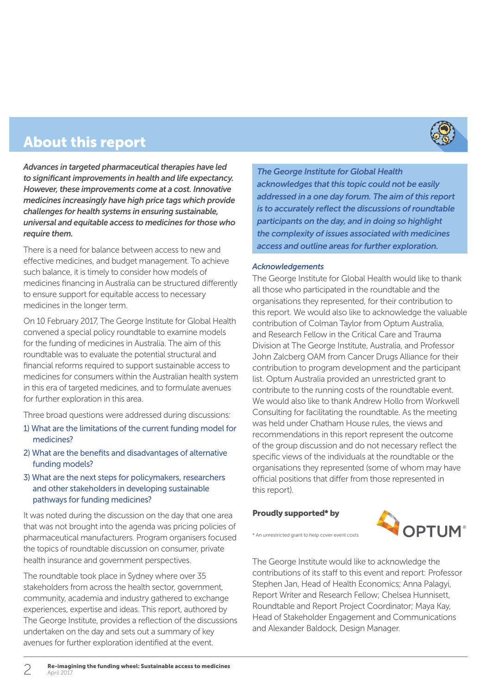

### About this report

*Advances in targeted pharmaceutical therapies have led to significant improvements in health and life expectancy. However, these improvements come at a cost. Innovative medicines increasingly have high price tags which provide challenges for health systems in ensuring sustainable, universal and equitable access to medicines for those who require them.*

There is a need for balance between access to new and effective medicines, and budget management. To achieve such balance, it is timely to consider how models of medicines financing in Australia can be structured differently to ensure support for equitable access to necessary medicines in the longer term.

On 10 February 2017, The George Institute for Global Health convened a special policy roundtable to examine models for the funding of medicines in Australia. The aim of this roundtable was to evaluate the potential structural and financial reforms required to support sustainable access to medicines for consumers within the Australian health system in this era of targeted medicines, and to formulate avenues for further exploration in this area.

Three broad questions were addressed during discussions:

- 1) What are the limitations of the current funding model for medicines?
- 2) What are the benefits and disadvantages of alternative funding models?
- 3) What are the next steps for policymakers, researchers and other stakeholders in developing sustainable pathways for funding medicines?

It was noted during the discussion on the day that one area that was not brought into the agenda was pricing policies of pharmaceutical manufacturers. Program organisers focused the topics of roundtable discussion on consumer, private health insurance and government perspectives.

The roundtable took place in Sydney where over 35 stakeholders from across the health sector, government, community, academia and industry gathered to exchange experiences, expertise and ideas. This report, authored by The George Institute, provides a reflection of the discussions undertaken on the day and sets out a summary of key avenues for further exploration identified at the event.

*The George Institute for Global Health acknowledges that this topic could not be easily addressed in a one day forum. The aim of this report is to accurately reflect the discussions of roundtable participants on the day, and in doing so highlight the complexity of issues associated with medicines access and outline areas for further exploration.*

#### *Acknowledgements*

The George Institute for Global Health would like to thank all those who participated in the roundtable and the organisations they represented, for their contribution to this report. We would also like to acknowledge the valuable contribution of Colman Taylor from Optum Australia, and Research Fellow in the Critical Care and Trauma Division at The George Institute, Australia, and Professor John Zalcberg OAM from Cancer Drugs Alliance for their contribution to program development and the participant list. Optum Australia provided an unrestricted grant to contribute to the running costs of the roundtable event. We would also like to thank Andrew Hollo from Workwell Consulting for facilitating the roundtable. As the meeting was held under Chatham House rules, the views and recommendations in this report represent the outcome of the group discussion and do not necessary reflect the specific views of the individuals at the roundtable or the organisations they represented (some of whom may have official positions that differ from those represented in this report).

#### Proudly supported\* by

\* An unrestricted grant to help cover event costs



The George Institute would like to acknowledge the contributions of its staff to this event and report: Professor Stephen Jan, Head of Health Economics; Anna Palagyi, Report Writer and Research Fellow; Chelsea Hunnisett, Roundtable and Report Project Coordinator; Maya Kay, Head of Stakeholder Engagement and Communications and Alexander Baldock, Design Manager.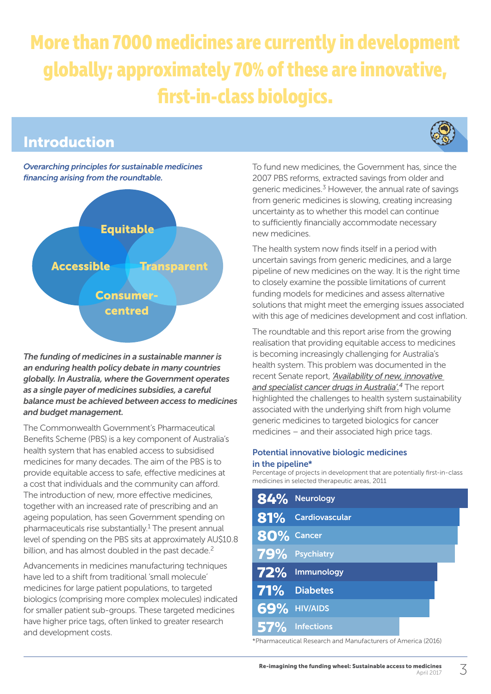# **More than 7000 medicines are currently in development globally; approximately 70% of these are innovative, first-in-class biologics.**

## Introduction



### *Overarching principles for sustainable medicines financing arising from the roundtable.*



*The funding of medicines in a sustainable manner is an enduring health policy debate in many countries globally. In Australia, where the Government operates as a single payer of medicines subsidies, a careful balance must be achieved between access to medicines and budget management.* 

The Commonwealth Government's Pharmaceutical Benefits Scheme (PBS) is a key component of Australia's health system that has enabled access to subsidised medicines for many decades. The aim of the PBS is to provide equitable access to safe, effective medicines at a cost that individuals and the community can afford. The introduction of new, more effective medicines, together with an increased rate of prescribing and an ageing population, has seen Government spending on pharmaceuticals rise substantially.<sup>1</sup> The present annual level of spending on the PBS sits at approximately AU\$10.8 billion, and has almost doubled in the past decade.<sup>2</sup>

Advancements in medicines manufacturing techniques have led to a shift from traditional 'small molecule' medicines for large patient populations, to targeted biologics (comprising more complex molecules) indicated for smaller patient sub-groups. These targeted medicines have higher price tags, often linked to greater research and development costs.

To fund new medicines, the Government has, since the 2007 PBS reforms, extracted savings from older and generic medicines.3 However, the annual rate of savings from generic medicines is slowing, creating increasing uncertainty as to whether this model can continue to sufficiently financially accommodate necessary new medicines.

The health system now finds itself in a period with uncertain savings from generic medicines, and a large pipeline of new medicines on the way. It is the right time to closely examine the possible limitations of current funding models for medicines and assess alternative solutions that might meet the emerging issues associated with this age of medicines development and cost inflation.

The roundtable and this report arise from the growing realisation that providing equitable access to medicines is becoming increasingly challenging for Australia's health system. This problem was documented in the recent Senate report, *['Availability of new, innovative](www.aph.gov.au/Parliamentary_Business/Committees/Senate/Community_Affairs/Cancer_Drugs/Report)  [and specialist cancer drugs in Australia'.](www.aph.gov.au/Parliamentary_Business/Committees/Senate/Community_Affairs/Cancer_Drugs/Report)4* The report highlighted the challenges to health system sustainability associated with the underlying shift from high volume generic medicines to targeted biologics for cancer medicines – and their associated high price tags.

#### Potential innovative biologic medicines in the pipeline\*

Percentage of projects in development that are potentially first-in-class medicines in selected therapeutic areas, 2011

|            | 84% Neurology       |
|------------|---------------------|
|            | 81% Cardiovascular  |
| 80% Cancer |                     |
|            | 79% Psychiatry      |
|            | 72% Immunology      |
|            | <b>71%</b> Diabetes |
|            | 69% HIV/AIDS        |
| <b>57%</b> | <b>Infections</b>   |

\*Pharmaceutical Research and Manufacturers of America (2016)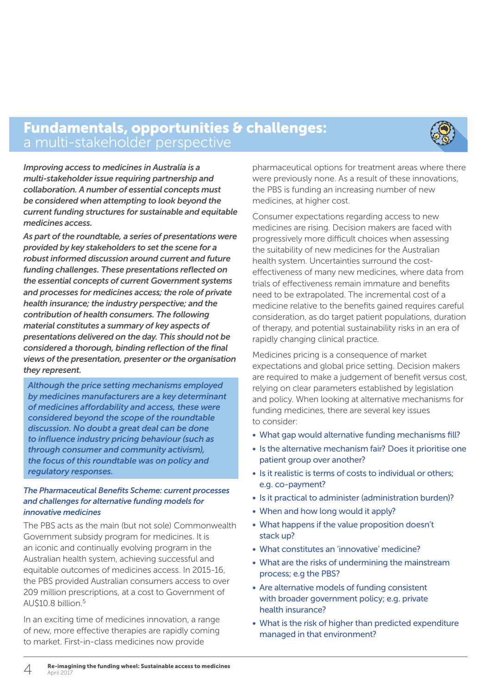### Fundamentals, opportunities & challenges: a multi-stakeholder perspective



*Improving access to medicines in Australia is a multi-stakeholder issue requiring partnership and collaboration. A number of essential concepts must be considered when attempting to look beyond the current funding structures for sustainable and equitable medicines access.* 

*As part of the roundtable, a series of presentations were provided by key stakeholders to set the scene for a robust informed discussion around current and future funding challenges. These presentations reflected on the essential concepts of current Government systems and processes for medicines access; the role of private health insurance; the industry perspective; and the contribution of health consumers. The following material constitutes a summary of key aspects of presentations delivered on the day. This should not be considered a thorough, binding reflection of the final views of the presentation, presenter or the organisation they represent.*

*Although the price setting mechanisms employed by medicines manufacturers are a key determinant of medicines affordability and access, these were considered beyond the scope of the roundtable discussion. No doubt a great deal can be done to influence industry pricing behaviour (such as through consumer and community activism), the focus of this roundtable was on policy and regulatory responses.*

#### *The Pharmaceutical Benefits Scheme: current processes and challenges for alternative funding models for innovative medicines*

The PBS acts as the main (but not sole) Commonwealth Government subsidy program for medicines. It is an iconic and continually evolving program in the Australian health system, achieving successful and equitable outcomes of medicines access. In 2015-16, the PBS provided Australian consumers access to over 209 million prescriptions, at a cost to Government of AU $$10.8$  billion.<sup>5</sup>

In an exciting time of medicines innovation, a range of new, more effective therapies are rapidly coming to market. First-in-class medicines now provide

pharmaceutical options for treatment areas where there were previously none. As a result of these innovations, the PBS is funding an increasing number of new medicines, at higher cost.

Consumer expectations regarding access to new medicines are rising. Decision makers are faced with progressively more difficult choices when assessing the suitability of new medicines for the Australian health system. Uncertainties surround the costeffectiveness of many new medicines, where data from trials of effectiveness remain immature and benefits need to be extrapolated. The incremental cost of a medicine relative to the benefits gained requires careful consideration, as do target patient populations, duration of therapy, and potential sustainability risks in an era of rapidly changing clinical practice.

Medicines pricing is a consequence of market expectations and global price setting. Decision makers are required to make a judgement of benefit versus cost, relying on clear parameters established by legislation and policy. When looking at alternative mechanisms for funding medicines, there are several key issues to consider:

- What gap would alternative funding mechanisms fill?
- Is the alternative mechanism fair? Does it prioritise one patient group over another?
- Is it realistic is terms of costs to individual or others; e.g. co-payment?
- Is it practical to administer (administration burden)?
- When and how long would it apply?
- What happens if the value proposition doesn't stack up?
- What constitutes an 'innovative' medicine?
- What are the risks of undermining the mainstream process; e.g the PBS?
- Are alternative models of funding consistent with broader government policy; e.g. private health insurance?
- What is the risk of higher than predicted expenditure managed in that environment?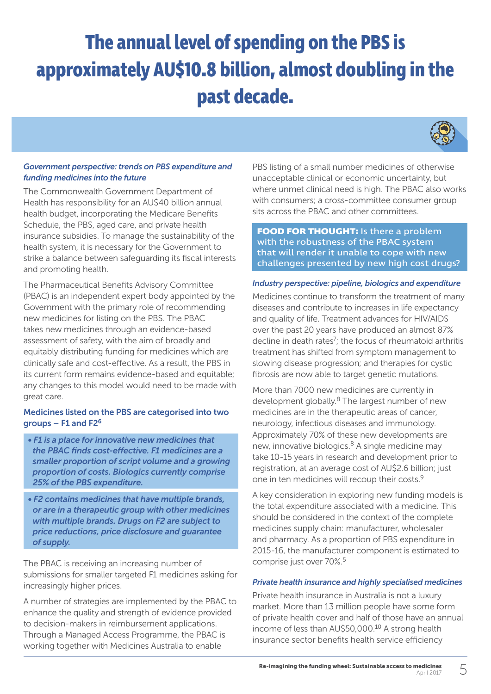# **The annual level of spending on the PBS is approximately AU\$10.8 billion, almost doubling in the past decade.**



#### *Government perspective: trends on PBS expenditure and funding medicines into the future*

The Commonwealth Government Department of Health has responsibility for an AU\$40 billion annual health budget, incorporating the Medicare Benefits Schedule, the PBS, aged care, and private health insurance subsidies. To manage the sustainability of the health system, it is necessary for the Government to strike a balance between safeguarding its fiscal interests and promoting health.

The Pharmaceutical Benefits Advisory Committee (PBAC) is an independent expert body appointed by the Government with the primary role of recommending new medicines for listing on the PBS. The PBAC takes new medicines through an evidence-based assessment of safety, with the aim of broadly and equitably distributing funding for medicines which are clinically safe and cost-effective. As a result, the PBS in its current form remains evidence-based and equitable; any changes to this model would need to be made with great care.

### Medicines listed on the PBS are categorised into two groups – F1 and F26

- *F1 is a place for innovative new medicines that the PBAC finds cost-effective. F1 medicines are a smaller proportion of script volume and a growing proportion of costs. Biologics currently comprise 25% of the PBS expenditure.*
- *F2 contains medicines that have multiple brands, or are in a therapeutic group with other medicines with multiple brands. Drugs on F2 are subject to price reductions, price disclosure and guarantee of supply.*

The PBAC is receiving an increasing number of submissions for smaller targeted F1 medicines asking for increasingly higher prices.

A number of strategies are implemented by the PBAC to enhance the quality and strength of evidence provided to decision-makers in reimbursement applications. Through a Managed Access Programme, the PBAC is working together with Medicines Australia to enable

PBS listing of a small number medicines of otherwise unacceptable clinical or economic uncertainty, but where unmet clinical need is high. The PBAC also works with consumers; a cross-committee consumer group sits across the PBAC and other committees.

**FOOD FOR THOUGHT:** Is there a problem with the robustness of the PBAC system that will render it unable to cope with new challenges presented by new high cost drugs?

#### *Industry perspective: pipeline, biologics and expenditure*

Medicines continue to transform the treatment of many diseases and contribute to increases in life expectancy and quality of life. Treatment advances for HIV/AIDS over the past 20 years have produced an almost 87% decline in death rates<sup>7</sup>; the focus of rheumatoid arthritis treatment has shifted from symptom management to slowing disease progression; and therapies for cystic fibrosis are now able to target genetic mutations.

More than 7000 new medicines are currently in development globally.<sup>8</sup> The largest number of new medicines are in the therapeutic areas of cancer, neurology, infectious diseases and immunology. Approximately 70% of these new developments are new, innovative biologics.<sup>8</sup> A single medicine may take 10-15 years in research and development prior to registration, at an average cost of AU\$2.6 billion; just one in ten medicines will recoup their costs.9

A key consideration in exploring new funding models is the total expenditure associated with a medicine. This should be considered in the context of the complete medicines supply chain: manufacturer, wholesaler and pharmacy. As a proportion of PBS expenditure in 2015-16, the manufacturer component is estimated to comprise just over 70%.5

#### *Private health insurance and highly specialised medicines*

Private health insurance in Australia is not a luxury market. More than 13 million people have some form of private health cover and half of those have an annual income of less than AU\$50,000.10 A strong health insurance sector benefits health service efficiency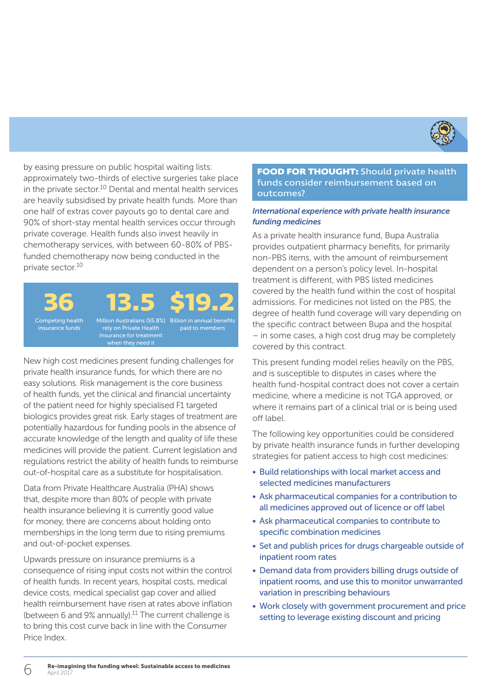

by easing pressure on public hospital waiting lists: approximately two-thirds of elective surgeries take place in the private sector.<sup>10</sup> Dental and mental health services are heavily subsidised by private health funds. More than one half of extras cover payouts go to dental care and 90% of short-stay mental health services occur through private coverage. Health funds also invest heavily in chemotherapy services, with between 60-80% of PBSfunded chemotherapy now being conducted in the private sector.10

**36**

Competing health insurance funds

**13.5** Million Australians (55.8%) Billion in annual benefits **\$19.2** 

rely on Private Health paid to members

New high cost medicines present funding challenges for private health insurance funds, for which there are no easy solutions. Risk management is the core business of health funds, yet the clinical and financial uncertainty of the patient need for highly specialised F1 targeted biologics provides great risk. Early stages of treatment are potentially hazardous for funding pools in the absence of accurate knowledge of the length and quality of life these medicines will provide the patient. Current legislation and regulations restrict the ability of health funds to reimburse out-of-hospital care as a substitute for hospitalisation.

Data from Private Healthcare Australia (PHA) shows that, despite more than 80% of people with private health insurance believing it is currently good value for money, there are concerns about holding onto memberships in the long term due to rising premiums and out-of-pocket expenses.

Upwards pressure on insurance premiums is a consequence of rising input costs not within the control of health funds. In recent years, hospital costs, medical device costs, medical specialist gap cover and allied health reimbursement have risen at rates above inflation (between 6 and 9% annually).<sup>11</sup> The current challenge is to bring this cost curve back in line with the Consumer Price Index.

#### **FOOD FOR THOUGHT:** Should private health funds consider reimbursement based on outcomes?

#### *International experience with private health insurance funding medicines*

As a private health insurance fund, Bupa Australia provides outpatient pharmacy benefits, for primarily non-PBS items, with the amount of reimbursement dependent on a person's policy level. In-hospital treatment is different, with PBS listed medicines covered by the health fund within the cost of hospital admissions. For medicines not listed on the PBS, the degree of health fund coverage will vary depending on the specific contract between Bupa and the hospital – in some cases, a high cost drug may be completely covered by this contract.

This present funding model relies heavily on the PBS, and is susceptible to disputes in cases where the health fund-hospital contract does not cover a certain medicine, where a medicine is not TGA approved, or where it remains part of a clinical trial or is being used off label.

The following key opportunities could be considered by private health insurance funds in further developing strategies for patient access to high cost medicines:

- Build relationships with local market access and selected medicines manufacturers
- Ask pharmaceutical companies for a contribution to all medicines approved out of licence or off label
- Ask pharmaceutical companies to contribute to specific combination medicines
- Set and publish prices for drugs chargeable outside of inpatient room rates
- Demand data from providers billing drugs outside of inpatient rooms, and use this to monitor unwarranted variation in prescribing behaviours
- Work closely with government procurement and price setting to leverage existing discount and pricing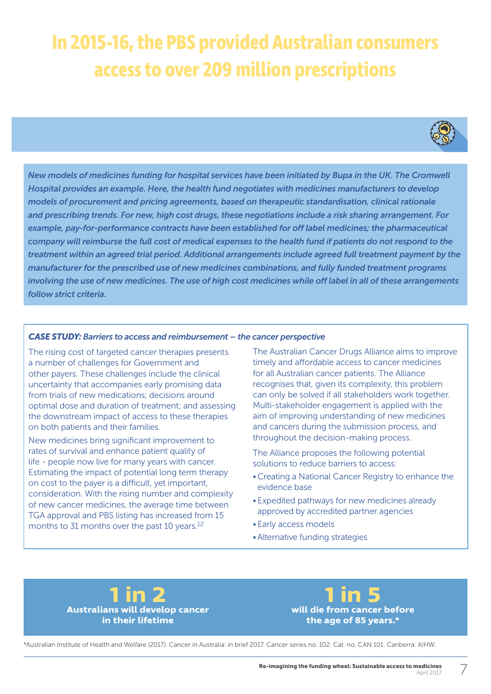# **In 2015-16, the PBS provided Australian consumers access to over 209 million prescriptions**



*New models of medicines funding for hospital services have been initiated by Bupa in the UK. The Cromwell Hospital provides an example. Here, the health fund negotiates with medicines manufacturers to develop models of procurement and pricing agreements, based on therapeutic standardisation, clinical rationale and prescribing trends. For new, high cost drugs, these negotiations include a risk sharing arrangement. For example, pay-for-performance contracts have been established for off label medicines; the pharmaceutical company will reimburse the full cost of medical expenses to the health fund if patients do not respond to the treatment within an agreed trial period. Additional arrangements include agreed full treatment payment by the manufacturer for the prescribed use of new medicines combinations, and fully funded treatment programs involving the use of new medicines. The use of high cost medicines while off label in all of these arrangements follow strict criteria.* 

#### *CASE STUDY: Barriers to access and reimbursement – the cancer perspective*

The rising cost of targeted cancer therapies presents a number of challenges for Government and other payers. These challenges include the clinical uncertainty that accompanies early promising data from trials of new medications; decisions around optimal dose and duration of treatment; and assessing the downstream impact of access to these therapies on both patients and their families.

New medicines bring significant improvement to rates of survival and enhance patient quality of life - people now live for many years with cancer. Estimating the impact of potential long term therapy on cost to the payer is a difficult, yet important, consideration. With the rising number and complexity of new cancer medicines, the average time between TGA approval and PBS listing has increased from 15 months to 31 months over the past 10 years.<sup>12</sup>

The Australian Cancer Drugs Alliance aims to improve timely and affordable access to cancer medicines for all Australian cancer patients. The Alliance recognises that, given its complexity, this problem can only be solved if all stakeholders work together. Multi-stakeholder engagement is applied with the aim of improving understanding of new medicines and cancers during the submission process, and throughout the decision-making process.

The Alliance proposes the following potential solutions to reduce barriers to access:

- •Creating a National Cancer Registry to enhance the evidence base
- •Expedited pathways for new medicines already approved by accredited partner agencies
- •Early access models
- •Alternative funding strategies



**1 in 5 will die from cancer before the age of 85 years.\***

\*Australian Institute of Health and Welfare (2017). Cancer in Australia: in brief 2017. Cancer series no. 102. Cat. no. CAN 101. Canberra: AIHW.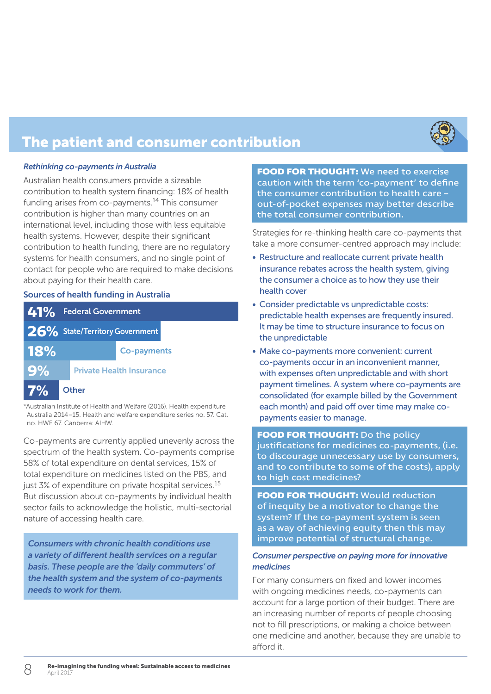

## The patient and consumer contribution

#### *Rethinking co-payments in Australia*

Australian health consumers provide a sizeable contribution to health system financing: 18% of health funding arises from co-payments.<sup>14</sup> This consumer contribution is higher than many countries on an international level, including those with less equitable health systems. However, despite their significant contribution to health funding, there are no regulatory systems for health consumers, and no single point of contact for people who are required to make decisions about paying for their health care.

#### Sources of health funding in Australia

|            | 41% Federal Government |                                |                                 |
|------------|------------------------|--------------------------------|---------------------------------|
|            |                        | 26% State/Territory Government |                                 |
| <b>18%</b> |                        |                                | <b>Co-payments</b>              |
| 9%         |                        |                                | <b>Private Health Insurance</b> |
| 7%         |                        | Other                          |                                 |

\*Australian Institute of Health and Welfare (2016). Health expenditure Australia 2014–15. Health and welfare expenditure series no. 57. Cat. no. HWE 67. Canberra: AIHW.

Co-payments are currently applied unevenly across the spectrum of the health system. Co-payments comprise 58% of total expenditure on dental services, 15% of total expenditure on medicines listed on the PBS, and just 3% of expenditure on private hospital services.<sup>15</sup> But discussion about co-payments by individual health sector fails to acknowledge the holistic, multi-sectorial nature of accessing health care.

*Consumers with chronic health conditions use a variety of different health services on a regular basis. These people are the 'daily commuters' of the health system and the system of co-payments needs to work for them.*

**FOOD FOR THOUGHT:** We need to exercise caution with the term 'co-payment' to define the consumer contribution to health care – out-of-pocket expenses may better describe the total consumer contribution.

Strategies for re-thinking health care co-payments that take a more consumer-centred approach may include:

- Restructure and reallocate current private health insurance rebates across the health system, giving the consumer a choice as to how they use their health cover
- Consider predictable vs unpredictable costs: predictable health expenses are frequently insured. It may be time to structure insurance to focus on the unpredictable
- Make co-payments more convenient: current co-payments occur in an inconvenient manner, with expenses often unpredictable and with short payment timelines. A system where co-payments are consolidated (for example billed by the Government each month) and paid off over time may make copayments easier to manage.

#### **FOOD FOR THOUGHT:** Do the policy

justifications for medicines co-payments, (i.e. to discourage unnecessary use by consumers, and to contribute to some of the costs), apply to high cost medicines?

**FOOD FOR THOUGHT:** Would reduction of inequity be a motivator to change the system? If the co-payment system is seen as a way of achieving equity then this may improve potential of structural change.

#### *Consumer perspective on paying more for innovative medicines*

For many consumers on fixed and lower incomes with ongoing medicines needs, co-payments can account for a large portion of their budget. There are an increasing number of reports of people choosing not to fill prescriptions, or making a choice between one medicine and another, because they are unable to afford it.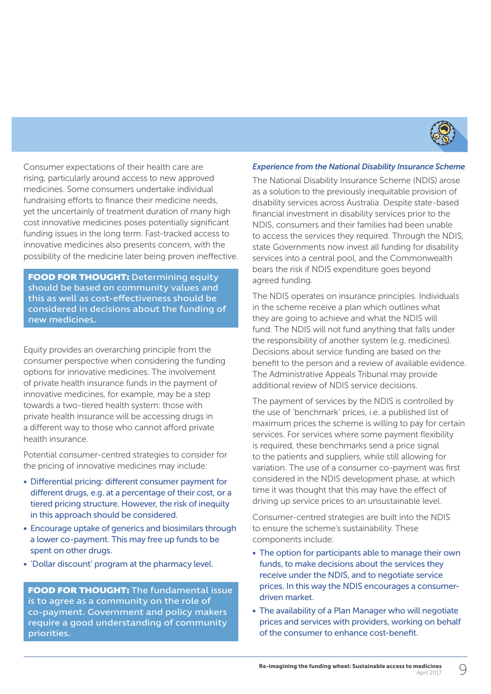

Consumer expectations of their health care are rising, particularly around access to new approved medicines. Some consumers undertake individual fundraising efforts to finance their medicine needs, yet the uncertainly of treatment duration of many high cost innovative medicines poses potentially significant funding issues in the long term. Fast-tracked access to innovative medicines also presents concern, with the possibility of the medicine later being proven ineffective.

**FOOD FOR THOUGHT: Determining equity** should be based on community values and this as well as cost-effectiveness should be considered in decisions about the funding of new medicines.

Equity provides an overarching principle from the consumer perspective when considering the funding options for innovative medicines. The involvement of private health insurance funds in the payment of innovative medicines, for example, may be a step towards a two-tiered health system: those with private health insurance will be accessing drugs in a different way to those who cannot afford private health insurance.

Potential consumer-centred strategies to consider for the pricing of innovative medicines may include:

- Differential pricing: different consumer payment for different drugs, e.g. at a percentage of their cost, or a tiered pricing structure. However, the risk of inequity in this approach should be considered.
- Encourage uptake of generics and biosimilars through a lower co-payment. This may free up funds to be spent on other drugs.
- 'Dollar discount' program at the pharmacy level.

**FOOD FOR THOUGHT:** The fundamental issue is to agree as a community on the role of co-payment. Government and policy makers require a good understanding of community priorities.

#### *Experience from the National Disability Insurance Scheme*

The National Disability Insurance Scheme (NDIS) arose as a solution to the previously inequitable provision of disability services across Australia. Despite state-based financial investment in disability services prior to the NDIS, consumers and their families had been unable to access the services they required. Through the NDIS, state Governments now invest all funding for disability services into a central pool, and the Commonwealth bears the risk if NDIS expenditure goes beyond agreed funding.

The NDIS operates on insurance principles. Individuals in the scheme receive a plan which outlines what they are going to achieve and what the NDIS will fund. The NDIS will not fund anything that falls under the responsibility of another system (e.g. medicines). Decisions about service funding are based on the benefit to the person and a review of available evidence. The Administrative Appeals Tribunal may provide additional review of NDIS service decisions.

The payment of services by the NDIS is controlled by the use of 'benchmark' prices, i.e. a published list of maximum prices the scheme is willing to pay for certain services. For services where some payment flexibility is required, these benchmarks send a price signal to the patients and suppliers, while still allowing for variation. The use of a consumer co-payment was first considered in the NDIS development phase, at which time it was thought that this may have the effect of driving up service prices to an unsustainable level.

Consumer-centred strategies are built into the NDIS to ensure the scheme's sustainability. These components include:

- The option for participants able to manage their own funds, to make decisions about the services they receive under the NDIS, and to negotiate service prices. In this way the NDIS encourages a consumerdriven market.
- The availability of a Plan Manager who will negotiate prices and services with providers, working on behalf of the consumer to enhance cost-benefit.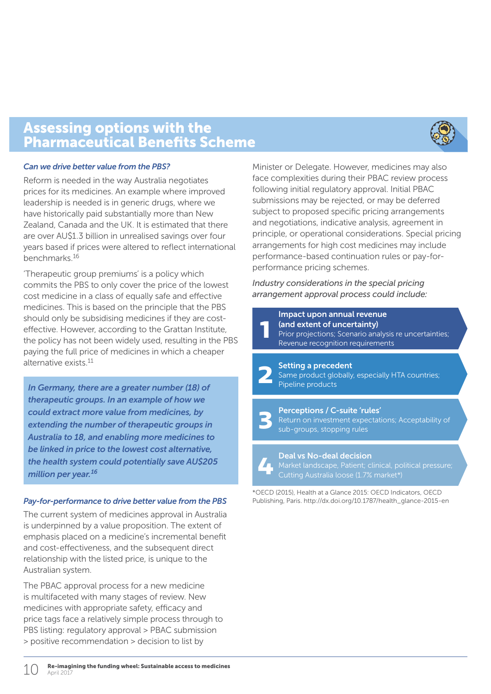### Assessing options with the Pharmaceutical Benefits Scheme



#### *Can we drive better value from the PBS?*

Reform is needed in the way Australia negotiates prices for its medicines. An example where improved leadership is needed is in generic drugs, where we have historically paid substantially more than New Zealand, Canada and the UK. It is estimated that there are over AU\$1.3 billion in unrealised savings over four years based if prices were altered to reflect international benchmarks.16

'Therapeutic group premiums' is a policy which commits the PBS to only cover the price of the lowest cost medicine in a class of equally safe and effective medicines. This is based on the principle that the PBS should only be subsidising medicines if they are costeffective. However, according to the Grattan Institute, the policy has not been widely used, resulting in the PBS paying the full price of medicines in which a cheaper alternative exists.<sup>11</sup>

*In Germany, there are a greater number (18) of therapeutic groups. In an example of how we could extract more value from medicines, by extending the number of therapeutic groups in Australia to 18, and enabling more medicines to be linked in price to the lowest cost alternative, the health system could potentially save AU\$205 million per year.16*

#### *Pay-for-performance to drive better value from the PBS*

The current system of medicines approval in Australia is underpinned by a value proposition. The extent of emphasis placed on a medicine's incremental benefit and cost-effectiveness, and the subsequent direct relationship with the listed price, is unique to the Australian system.

The PBAC approval process for a new medicine is multifaceted with many stages of review. New medicines with appropriate safety, efficacy and price tags face a relatively simple process through to PBS listing: regulatory approval > PBAC submission > positive recommendation > decision to list by

Minister or Delegate. However, medicines may also face complexities during their PBAC review process following initial regulatory approval. Initial PBAC submissions may be rejected, or may be deferred subject to proposed specific pricing arrangements and negotiations, indicative analysis, agreement in principle, or operational considerations. Special pricing arrangements for high cost medicines may include performance-based continuation rules or pay-forperformance pricing schemes.

*Industry considerations in the special pricing arrangement approval process could include:*

### Setting a precedent Same product globally, especially HTA countries;<br>Pipeline products Impact upon annual revenue (and extent of uncertainty) Prior projections; Scenario analysis re uncertainties; Revenue recognition requirements **1**

#### Perceptions / C-suite 'rules'

Return on investment expectations; Acceptability of sub-groups, stopping rules

### Deal vs No-deal decision

\*OECD (2015), Health at a Glance 2015: OECD Indicators, OECD Publishing, Paris. http://dx.doi.org/10.1787/health\_glance-2015-en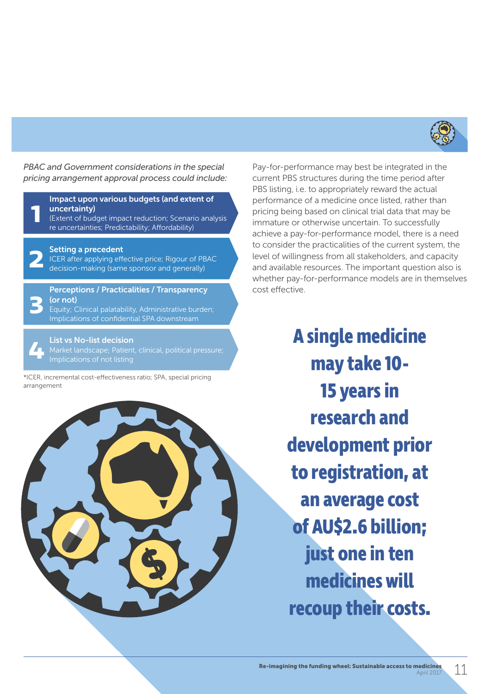

*PBAC and Government considerations in the special pricing arrangement approval process could include:*



#### Setting a precedent

ICER after applying effective price; Rigour of PBAC **2** decision-making (same sponsor and generally)

Perceptions / Practicalities / Transparency (or not)

Equity; Clinical palatability, Administrative burden; Implications of confidential SPA downstream **3** 

List vs No-list decision

\*ICER, incremental cost-effectiveness ratio; SPA, special pricing arrangement



Pay-for-performance may best be integrated in the current PBS structures during the time period after PBS listing, i.e. to appropriately reward the actual performance of a medicine once listed, rather than pricing being based on clinical trial data that may be immature or otherwise uncertain. To successfully achieve a pay-for-performance model, there is a need to consider the practicalities of the current system, the level of willingness from all stakeholders, and capacity and available resources. The important question also is whether pay-for-performance models are in themselves cost effective.

> **A single medicine may take 10- 15 years in research and development prior to registration, at an average cost of AU\$2.6 billion; just one in ten medicines will recoup their costs.**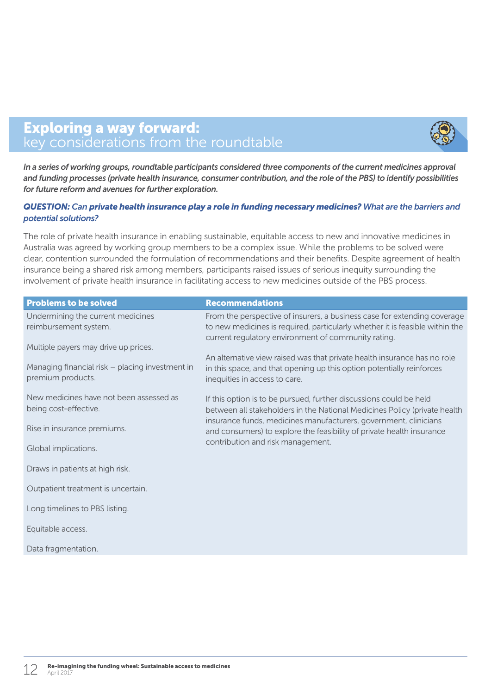### Exploring a way forward: key considerations from the roundtable

*In a series of working groups, roundtable participants considered three components of the current medicines approval and funding processes (private health insurance, consumer contribution, and the role of the PBS) to identify possibilities for future reform and avenues for further exploration.*

### *QUESTION: Can private health insurance play a role in funding necessary medicines? What are the barriers and potential solutions?*

The role of private health insurance in enabling sustainable, equitable access to new and innovative medicines in Australia was agreed by working group members to be a complex issue. While the problems to be solved were clear, contention surrounded the formulation of recommendations and their benefits. Despite agreement of health insurance being a shared risk among members, participants raised issues of serious inequity surrounding the involvement of private health insurance in facilitating access to new medicines outside of the PBS process.

| <b>Problems to be solved</b>                                         | <b>Recommendations</b>                                                                                                                                                                                                                                                                       |  |  |
|----------------------------------------------------------------------|----------------------------------------------------------------------------------------------------------------------------------------------------------------------------------------------------------------------------------------------------------------------------------------------|--|--|
| Undermining the current medicines<br>reimbursement system.           | From the perspective of insurers, a business case for extending coverage<br>to new medicines is required, particularly whether it is feasible within the<br>current regulatory environment of community rating.                                                                              |  |  |
| Multiple payers may drive up prices.                                 |                                                                                                                                                                                                                                                                                              |  |  |
| Managing financial risk – placing investment in<br>premium products. | An alternative view raised was that private health insurance has no role<br>in this space, and that opening up this option potentially reinforces<br>inequities in access to care.                                                                                                           |  |  |
| New medicines have not been assessed as<br>being cost-effective.     | If this option is to be pursued, further discussions could be held<br>between all stakeholders in the National Medicines Policy (private health<br>insurance funds, medicines manufacturers, government, clinicians<br>and consumers) to explore the feasibility of private health insurance |  |  |
| Rise in insurance premiums.                                          |                                                                                                                                                                                                                                                                                              |  |  |
| Global implications.                                                 | contribution and risk management.                                                                                                                                                                                                                                                            |  |  |
| Draws in patients at high risk.                                      |                                                                                                                                                                                                                                                                                              |  |  |
| Outpatient treatment is uncertain.                                   |                                                                                                                                                                                                                                                                                              |  |  |
| Long timelines to PBS listing.                                       |                                                                                                                                                                                                                                                                                              |  |  |
| Equitable access.                                                    |                                                                                                                                                                                                                                                                                              |  |  |
| Data fragmentation.                                                  |                                                                                                                                                                                                                                                                                              |  |  |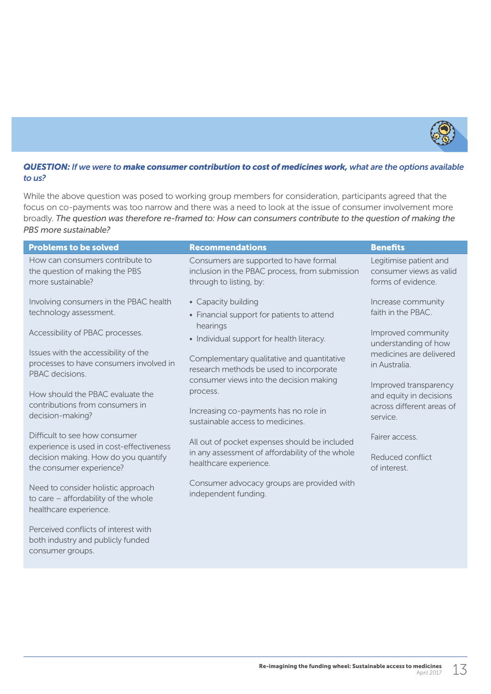

#### *QUESTION: If we were to make consumer contribution to cost of medicines work, what are the options available to us?*

While the above question was posed to working group members for consideration, participants agreed that the focus on co-payments was too narrow and there was a need to look at the issue of consumer involvement more broadly. *The question was therefore re-framed to: How can consumers contribute to the question of making the PBS more sustainable?*

| <b>Problems to be solved</b>                                                                         | <b>Recommendations</b>                                                                                              | <b>Benefits</b>                                                         |  |
|------------------------------------------------------------------------------------------------------|---------------------------------------------------------------------------------------------------------------------|-------------------------------------------------------------------------|--|
| How can consumers contribute to<br>the question of making the PBS<br>more sustainable?               | Consumers are supported to have formal<br>inclusion in the PBAC process, from submission<br>through to listing, by: | Legitimise patient and<br>consumer views as valid<br>forms of evidence. |  |
| Involving consumers in the PBAC health<br>technology assessment.                                     | • Capacity building<br>• Financial support for patients to attend                                                   | Increase community<br>faith in the PBAC.                                |  |
| Accessibility of PBAC processes.                                                                     | hearings<br>• Individual support for health literacy.                                                               | Improved community<br>understanding of how                              |  |
| Issues with the accessibility of the<br>processes to have consumers involved in<br>PBAC decisions.   | Complementary qualitative and quantitative<br>research methods be used to incorporate                               | medicines are delivered<br>in Australia.                                |  |
| How should the PBAC evaluate the                                                                     | consumer views into the decision making<br>process.                                                                 | Improved transparency<br>and equity in decisions                        |  |
| contributions from consumers in<br>decision-making?                                                  | Increasing co-payments has no role in<br>sustainable access to medicines.                                           | across different areas of<br>service.                                   |  |
| Difficult to see how consumer<br>experience is used in cost-effectiveness                            | All out of pocket expenses should be included                                                                       | Fairer access.                                                          |  |
| decision making. How do you quantify<br>the consumer experience?                                     | in any assessment of affordability of the whole<br>healthcare experience.                                           | Reduced conflict<br>of interest.                                        |  |
| Need to consider holistic approach<br>to care - affordability of the whole<br>healthcare experience. | Consumer advocacy groups are provided with<br>independent funding.                                                  |                                                                         |  |
| Perceived conflicts of interest with<br>both industry and publicly funded                            |                                                                                                                     |                                                                         |  |

consumer groups.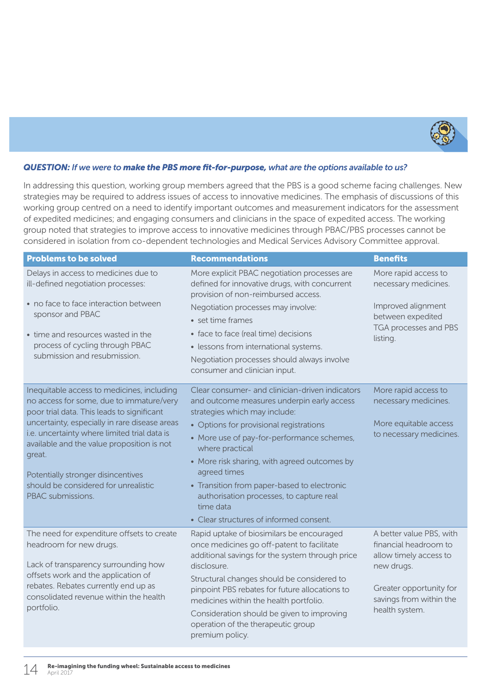

#### *QUESTION: If we were to make the PBS more fit-for-purpose, what are the options available to us?*

In addressing this question, working group members agreed that the PBS is a good scheme facing challenges. New strategies may be required to address issues of access to innovative medicines. The emphasis of discussions of this working group centred on a need to identify important outcomes and measurement indicators for the assessment of expedited medicines; and engaging consumers and clinicians in the space of expedited access. The working group noted that strategies to improve access to innovative medicines through PBAC/PBS processes cannot be considered in isolation from co-dependent technologies and Medical Services Advisory Committee approval.

| <b>Problems to be solved</b>                                                                                                                                                                                                                                                                                                                                                                     | <b>Recommendations</b>                                                                                                                                                                                                                                                                                                                                                                                                                                        | <b>Benefits</b>                                                                                                                                                   |
|--------------------------------------------------------------------------------------------------------------------------------------------------------------------------------------------------------------------------------------------------------------------------------------------------------------------------------------------------------------------------------------------------|---------------------------------------------------------------------------------------------------------------------------------------------------------------------------------------------------------------------------------------------------------------------------------------------------------------------------------------------------------------------------------------------------------------------------------------------------------------|-------------------------------------------------------------------------------------------------------------------------------------------------------------------|
| Delays in access to medicines due to<br>ill-defined negotiation processes:<br>• no face to face interaction between<br>sponsor and PBAC<br>• time and resources wasted in the<br>process of cycling through PBAC<br>submission and resubmission.                                                                                                                                                 | More explicit PBAC negotiation processes are<br>defined for innovative drugs, with concurrent<br>provision of non-reimbursed access.<br>Negotiation processes may involve:<br>• set time frames<br>· face to face (real time) decisions<br>· lessons from international systems.<br>Negotiation processes should always involve<br>consumer and clinician input.                                                                                              | More rapid access to<br>necessary medicines.<br>Improved alignment<br>between expedited<br>TGA processes and PBS<br>listing.                                      |
| Inequitable access to medicines, including<br>no access for some, due to immature/very<br>poor trial data. This leads to significant<br>uncertainty, especially in rare disease areas<br>i.e. uncertainty where limited trial data is<br>available and the value proposition is not<br>great.<br>Potentially stronger disincentives<br>should be considered for unrealistic<br>PBAC submissions. | Clear consumer- and clinician-driven indicators<br>and outcome measures underpin early access<br>strategies which may include:<br>• Options for provisional registrations<br>• More use of pay-for-performance schemes,<br>where practical<br>• More risk sharing, with agreed outcomes by<br>agreed times<br>• Transition from paper-based to electronic<br>authorisation processes, to capture real<br>time data<br>• Clear structures of informed consent. | More rapid access to<br>necessary medicines.<br>More equitable access<br>to necessary medicines.                                                                  |
| The need for expenditure offsets to create<br>headroom for new drugs.<br>Lack of transparency surrounding how<br>offsets work and the application of<br>rebates. Rebates currently end up as<br>consolidated revenue within the health<br>portfolio.                                                                                                                                             | Rapid uptake of biosimilars be encouraged<br>once medicines go off-patent to facilitate<br>additional savings for the system through price<br>disclosure.<br>Structural changes should be considered to<br>pinpoint PBS rebates for future allocations to<br>medicines within the health portfolio.<br>Consideration should be given to improving<br>operation of the therapeutic group<br>premium policy.                                                    | A better value PBS, with<br>financial headroom to<br>allow timely access to<br>new drugs.<br>Greater opportunity for<br>savings from within the<br>health system. |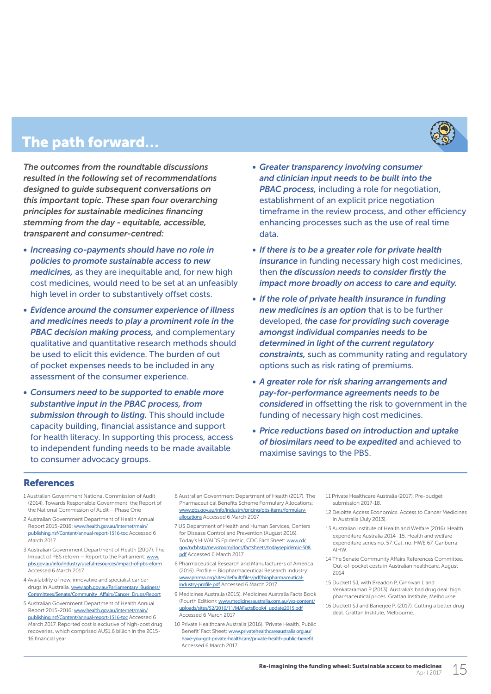The path forward...

*The outcomes from the roundtable discussions resulted in the following set of recommendations designed to guide subsequent conversations on this important topic. These span four overarching principles for sustainable medicines financing stemming from the day - equitable, accessible, transparent and consumer-centred:*

- *• Increasing co-payments should have no role in policies to promote sustainable access to new medicines,* as they are inequitable and, for new high cost medicines, would need to be set at an unfeasibly high level in order to substantively offset costs.
- *• Evidence around the consumer experience of illness and medicines needs to play a prominent role in the PBAC decision making process,* and complementary qualitative and quantitative research methods should be used to elicit this evidence. The burden of out of pocket expenses needs to be included in any assessment of the consumer experience.
- *• Consumers need to be supported to enable more substantive input in the PBAC process, from submission through to listing.* This should include capacity building, financial assistance and support for health literacy. In supporting this process, access to independent funding needs to be made available to consumer advocacy groups.
- *• Greater transparency involving consumer and clinician input needs to be built into the PBAC process,* including a role for negotiation, establishment of an explicit price negotiation timeframe in the review process, and other efficiency enhancing processes such as the use of real time data.
- *• If there is to be a greater role for private health insurance* in funding necessary high cost medicines, then *the discussion needs to consider firstly the impact more broadly on access to care and equity.*
- *• If the role of private health insurance in funding new medicines is an option* that is to be further developed, *the case for providing such coverage amongst individual companies needs to be determined in light of the current regulatory constraints,* such as community rating and regulatory options such as risk rating of premiums.
- *• A greater role for risk sharing arrangements and pay-for-performance agreements needs to be considered* in offsetting the risk to government in the funding of necessary high cost medicines.
- *• Price reductions based on introduction and uptake of biosimilars need to be expedited* and achieved to maximise savings to the PBS.

#### References

- 1 Australian Government National Commission of Audit (2014). Towards Responsible Government: the Report of the National Commission of Audit – Phase One
- 2 [Australian Government Department of Health Annual](http://www.health.gov.au/internet/main/publishing.nsf/Content/annual-report-1516-toc)  Report 2015-2016: [www.health.gov.au/internet/main/](http://www.health.gov.au/internet/main/publishing.nsf/Content/annual-report-1516-toc) [publishing.nsf/Content/annual-report-1516-toc](http://www.health.gov.au/internet/main/publishing.nsf/Content/annual-report-1516-toc) Accessed 6 [March 2017](http://www.health.gov.au/internet/main/publishing.nsf/Content/annual-report-1516-toc)
- 3 [Australian Government Department of Health \(2007\). The](http://www.pbs.gov.au/info/industry/useful-resources/impact-of-pbs-eform)  Impact of PBS reform - Report to the Parliament: www. [pbs.gov.au/info/industry/useful-resources/impact-of-pbs-eform](http://www.pbs.gov.au/info/industry/useful-resources/impact-of-pbs-eform) [Accessed 6 March 2017](http://www.pbs.gov.au/info/industry/useful-resources/impact-of-pbs-eform)
- 4 [Availability of new, innovative and specialist cancer](http://www.aph.gov.au/Parliamentary_Business/Committees/Senate/Community_Affairs/Cancer_Drugs/Report)  drugs in Australia. [www.aph.gov.au/Parliamentary\\_Business/](http://www.aph.gov.au/Parliamentary_Business/Committees/Senate/Community_Affairs/Cancer_Drugs/Report) [Committees/Senate/Community\\_Affairs/Cancer\\_Drugs/Report](http://www.aph.gov.au/Parliamentary_Business/Committees/Senate/Community_Affairs/Cancer_Drugs/Report)
- 5 Australian Government Department of Health Annual Report 2015-2016: [www.health.gov.au/internet/main/](http://www.health.gov.au/internet/main/publishing.nsf/Content/annual-report-1516-toc) [publishing.nsf/Content/annual-report-1516-toc](http://www.health.gov.au/internet/main/publishing.nsf/Content/annual-report-1516-toc) Accessed 6 [March 2017](http://www.health.gov.au/internet/main/publishing.nsf/Content/annual-report-1516-toc). Reported cost is exclusive of high-cost drug recoveries, which comprised AU\$1.6 billion in the 2015- 16 financial yea
- 6 Australian Government Department of Health (2017). The Pharmaceutical Benefits Scheme Formulary Allocations: [www.pbs.gov.au/info/industry/pricing/pbs-items/formulary](http://www.pbs.gov.au/info/industry/pricing/pbs-items/formulary-allocations)[allocations](http://www.pbs.gov.au/info/industry/pricing/pbs-items/formulary-allocations) Accessed 6 March 2017
- 7 US Department of Health and Human Services, Centers for Disease Control and Prevention (August 2016). Today's HIV/AIDS Epidemic, CDC Fact Sheet: [www.cdc.](https://www.cdc.gov/nchhstp/newsroom/docs/factsheets/todaysepidemic-508.pdf) [gov/nchhstp/newsroom/docs/factsheets/todaysepidemic-508.](https://www.cdc.gov/nchhstp/newsroom/docs/factsheets/todaysepidemic-508.pdf) [pdf](https://www.cdc.gov/nchhstp/newsroom/docs/factsheets/todaysepidemic-508.pdf) Accessed 6 March 2017
- 8 Pharmaceutical Research and Manufacturers of America (2016). Profile – Biopharmaceutical Research Industry: [www.phrma.org/sites/default/files/pdf/biopharmaceutical](http://phrma-docs.phrma.org/sites/default/files/pdf/biopharmaceutical-industry-profile.pdf)[industry-profile.pdf](http://phrma-docs.phrma.org/sites/default/files/pdf/biopharmaceutical-industry-profile.pdf) Accessed 6 March 2017
- 9 Medicines Australia (2015). Medicines Australia Facts Book (Fourth Edition): [www.medicinesaustralia.com.au/wp-content/](http://www.medicinesaustralia.com.au/wp-content/uploads/sites/52/2010/11/MAFactsBook4_update2015.pdf) [uploads/sites/52/2010/11/MAFactsBook4\\_update2015.pdf](http://www.medicinesaustralia.com.au/wp-content/uploads/sites/52/2010/11/MAFactsBook4_update2015.pdf) Accessed 6 March 2017
- 10 Private Healthcare Australia (2016). 'Private Health, Public Benefit' Fact Sheet: [www.privatehealthcareaustralia.org.au/](http://www.privatehealthcareaustralia.org.au/have-you-got-private-healthcare/private-health-public-benefit/) [have-you-got-private-healthcare/private-health-public-benefit](http://www.privatehealthcareaustralia.org.au/have-you-got-private-healthcare/private-health-public-benefit/) Accessed 6 March 2017
- 11 Private Healthcare Australia (2017). Pre-budget submission 2017-18.
- 12 Deloitte Access Economics. Access to Cancer Medicines in Australia (July 2013).
- 13 Australian Institute of Health and Welfare (2016). Health expenditure Australia 2014–15. Health and welfare expenditure series no. 57. Cat. no. HWE 67. Canberra: AIHW.
- 14 The Senate Community Affairs References Committee. Out-of-pocket costs in Australian healthcare, August 2014.
- 15 Duckett SJ, with Breadon P, Ginnivan L and Venkataraman P (2013). Australia's bad drug deal: high pharmaceutical prices. Grattan Institute, Melbourne.
- 16 Duckett SJ and Banerjee P. (2017). Cutting a better drug deal. Grattan Institute, Melbourne.